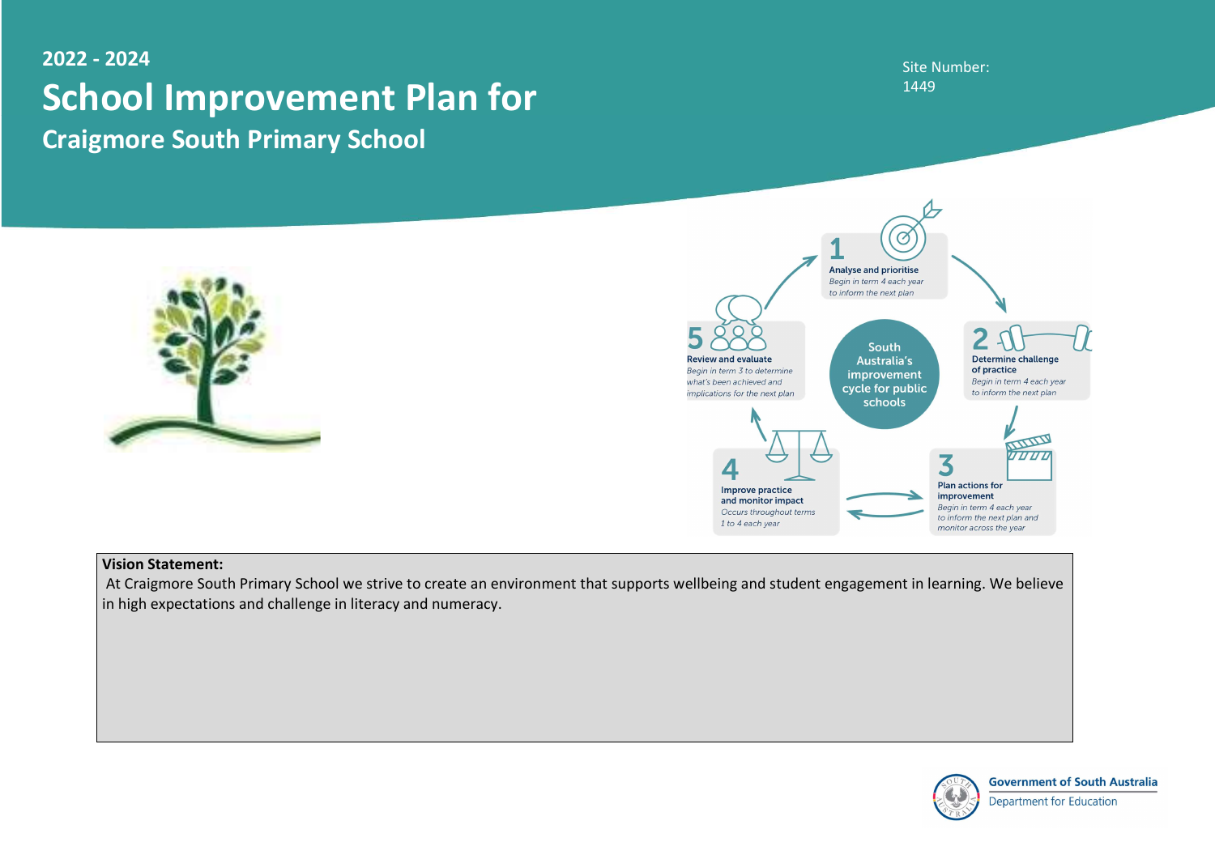## Site Number: 1449



**Government of South Australia** 

**Department for Education** 

# 2022 - 2024 School Improvement Plan for Craigmore South Primary School





## Vision Statement:

 At Craigmore South Primary School we strive to create an environment that supports wellbeing and student engagement in learning. We believe in high expectations and challenge in literacy and numeracy.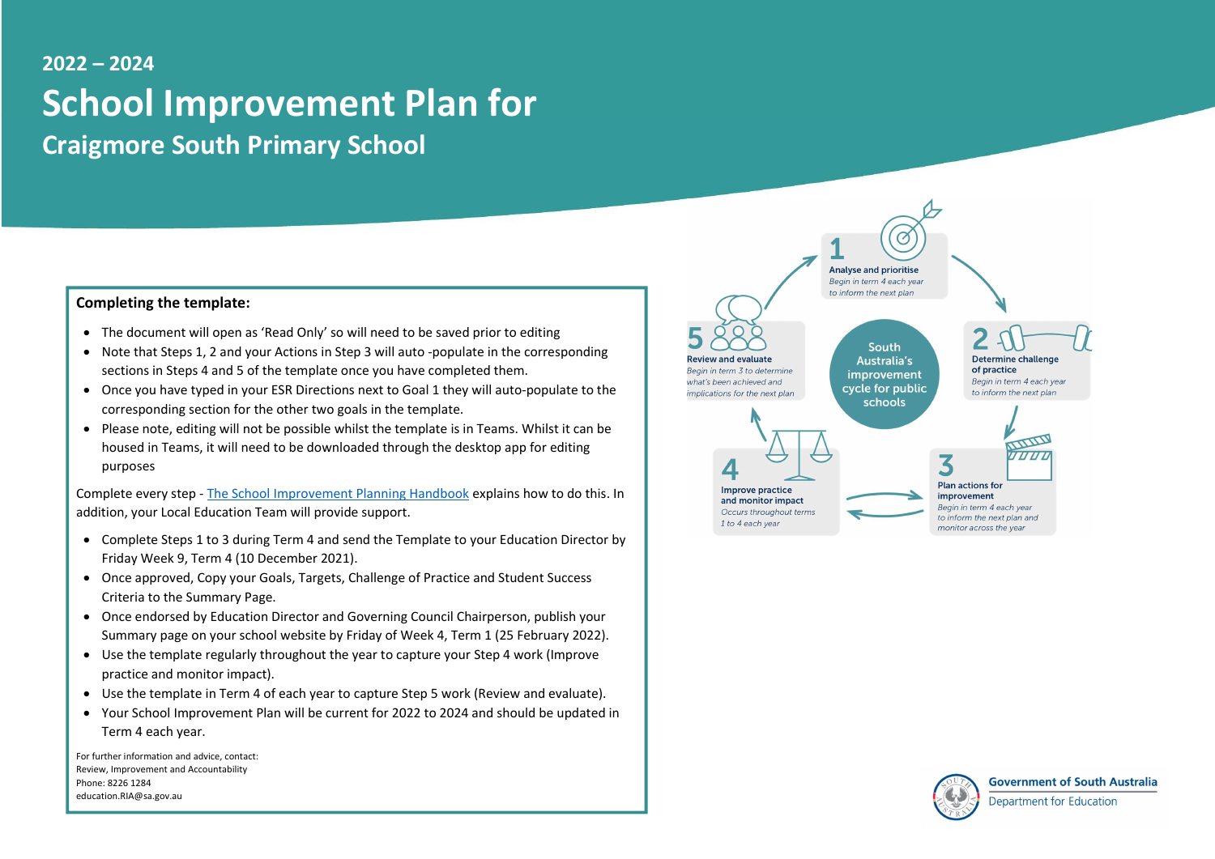# 2022 – 2024 School Improvement Plan for Craigmore South Primary School

#### Completing the template:

- The document will open as 'Read Only' so will need to be saved prior to editing
- Note that Steps 1, 2 and your Actions in Step 3 will auto -populate in the corresponding sections in Steps 4 and 5 of the template once you have completed them.
- Once you have typed in your ESR Directions next to Goal 1 they will auto-populate to the corresponding section for the other two goals in the template.
- Please note, editing will not be possible whilst the template is in Teams. Whilst it can be housed in Teams, it will need to be downloaded through the desktop app for editing purposes

Complete every step - The School Improvement Planning Handbook explains how to do this. In addition, your Local Education Team will provide support.

- Complete Steps 1 to 3 during Term 4 and send the Template to your Education Director by Friday Week 9, Term 4 (10 December 2021).
- Once approved, Copy your Goals, Targets, Challenge of Practice and Student Success Criteria to the Summary Page.
- Once endorsed by Education Director and Governing Council Chairperson, publish your Summary page on your school website by Friday of Week 4, Term 1 (25 February 2022).
- Use the template regularly throughout the year to capture your Step 4 work (Improve practice and monitor impact).
- Use the template in Term 4 of each year to capture Step 5 work (Review and evaluate).
- Your School Improvement Plan will be current for 2022 to 2024 and should be updated in Term 4 each year.

For further information and advice, contact: Review, Improvement and Accountability Phone: 8226 1284 education.RIA@sa.gov.au



Review and evaluate Begin in term 3 to determine what's been achieved and implications for the next plan

**South** Australia's improvement cycle for public schools

to inform the next plan

 $\Omega$ 



Improve practice and monitor impact Occurs throughout terms 1 to 4 each year







to inform the next plan and

monitor across the year



**Government of South Australia** 

Department for Education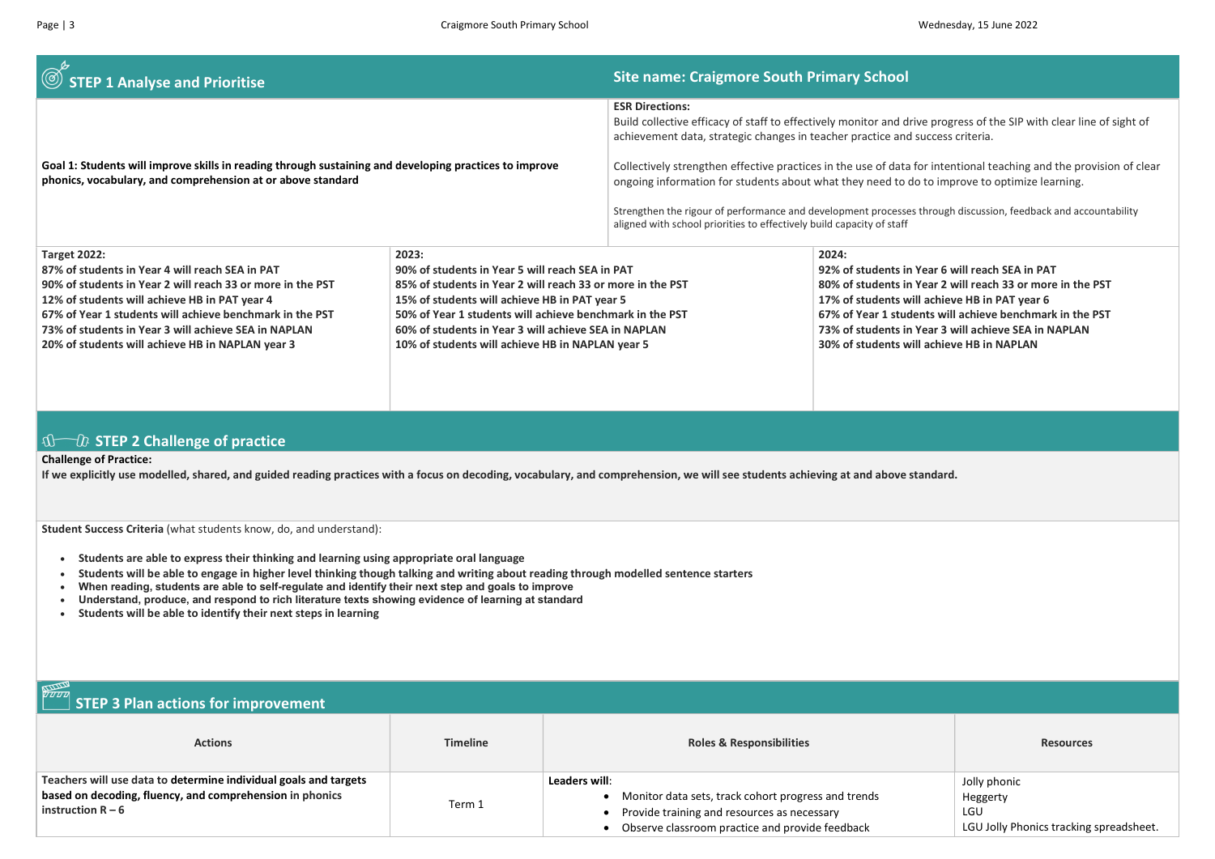## $\circled{S}$  STEP 1 Analyse and Prioritise School Site name: Craigmore South Primary School

Goal 1: Students will improve skills in reading through sustaining and developing practices to improve

phonics, vocabulary, and comprehension at or above standard

ESR Directions:

Build collective efficacy of staff to effectively monitor and drive progress of the SIP with clear line of sight of achievement data, strategic changes in teacher practice and success criteria.

Collectively strengthen effective practices in the use of data for intentional teaching and the provision of clear ongoing information for students about what they need to do to improve to optimize learning.

Strengthen the rigour of performance and development processes through discussion, feedback and accountability aligned with school priorities to effectively build capacity of staff

| <b>Target 2022:</b>                                        | 2023:                                                      | 2024:                |
|------------------------------------------------------------|------------------------------------------------------------|----------------------|
| 87% of students in Year 4 will reach SEA in PAT            | 90% of students in Year 5 will reach SEA in PAT            | 92% of students in ' |
| 90% of students in Year 2 will reach 33 or more in the PST | 85% of students in Year 2 will reach 33 or more in the PST | 80% of students in ' |
| 12% of students will achieve HB in PAT year 4              | 15% of students will achieve HB in PAT year 5              | 17% of students wil  |
| 67% of Year 1 students will achieve benchmark in the PST   | 50% of Year 1 students will achieve benchmark in the PST   | 67% of Year 1 stude  |
| 73% of students in Year 3 will achieve SEA in NAPLAN       | 60% of students in Year 3 will achieve SEA in NAPLAN       | 73% of students in ' |
| 20% of students will achieve HB in NAPLAN year 3           | 10% of students will achieve HB in NAPLAN year 5           | 30% of students wil  |
|                                                            |                                                            |                      |
|                                                            |                                                            |                      |
|                                                            |                                                            |                      |

## $\mathbb{S}\longrightarrow\mathbb{C}$  STEP 2 Challenge of practice

#### עשמ STEP 3 Plan actions for improvement

#### Challenge of Practice:

If we explicitly use modelled, shared, and guided reading practices with a focus on decoding, vocabulary, and comprehension, we will see students achieving at and above standard.

Student Success Criteria (what students know, do, and understand):

Students are able to express their thinking and learning using appropriate oral language

- Students will be able to engage in higher level thinking though talking and writing about reading through modelled sentence starters
- When reading, students are able to self-regulate and identify their next step and goals to improve
- Understand, produce, and respond to rich literature texts showing evidence of learning at standard
- Students will be able to identify their next steps in learning

| <b>Actions</b>                                                                                                                                      | <b>Timeline</b> | <b>Roles &amp; Responsibilities</b>                                                                                                                                      | <b>Resources</b>                                              |
|-----------------------------------------------------------------------------------------------------------------------------------------------------|-----------------|--------------------------------------------------------------------------------------------------------------------------------------------------------------------------|---------------------------------------------------------------|
| Teachers will use data to determine individual goals and targets<br>based on decoding, fluency, and comprehension in phonics<br>instruction $R - 6$ | Term 1          | Leaders will:<br>• Monitor data sets, track cohort progress and trends<br>Provide training and resources as necessary<br>Observe classroom practice and provide feedback | Jolly phonic<br>Heggerty<br>LGU<br>LGU Jolly Phonics tracking |

Year 6 will reach SEA in PAT Year 2 will reach 33 or more in the PST ill achieve HB in PAT year 6 ents will achieve benchmark in the PST Year 3 will achieve SEA in NAPLAN **ill achieve HB in NAPLAN** 

| <b>Resources</b>                                                           |
|----------------------------------------------------------------------------|
| Jolly phonic<br>Heggerty<br>LGU<br>LGU Jolly Phonics tracking spreadsheet. |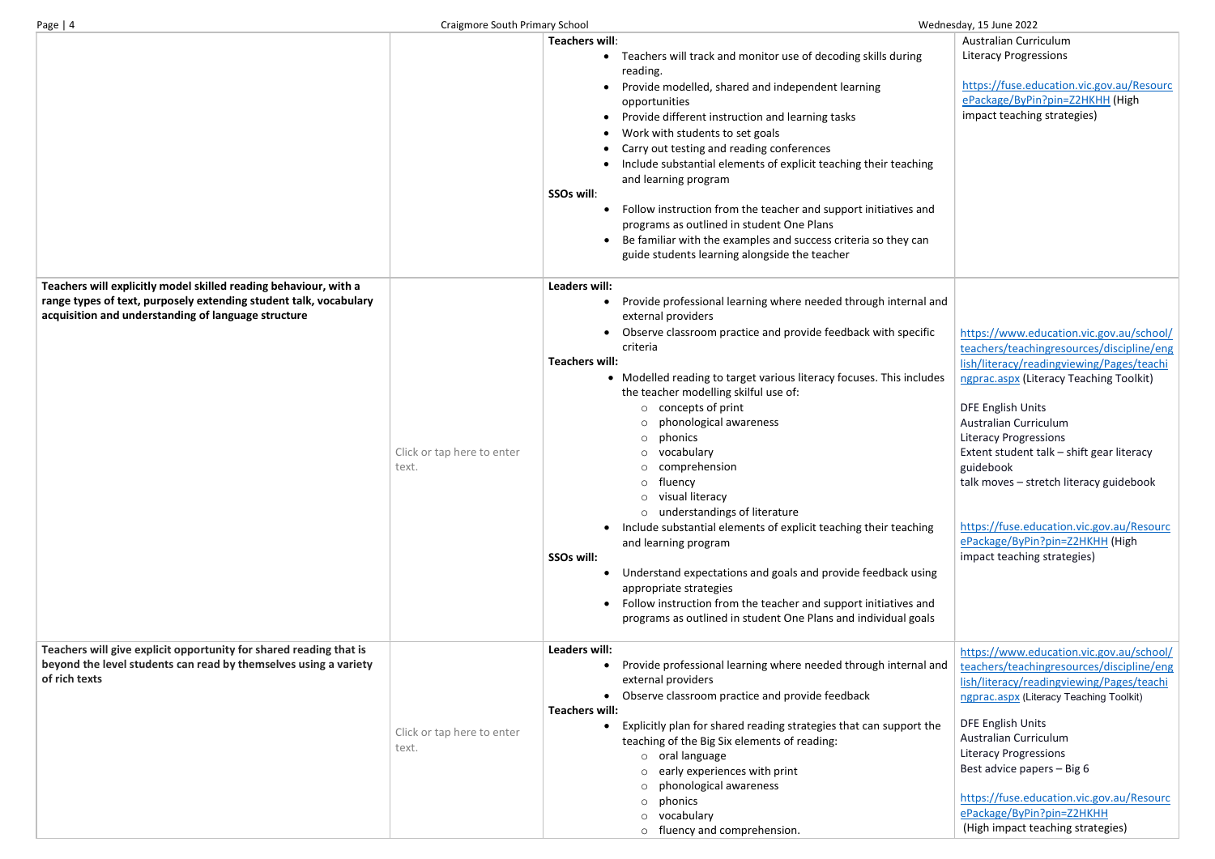|                                                                                                                                                                                              |                                     | <b>Teachers will:</b><br>Teachers will track and monitor use of decoding skills during<br>$\bullet$<br>reading.<br>Provide modelled, shared and independent learning<br>opportunities<br>Provide different instruction and learning tasks<br>Work with students to set goals<br>$\bullet$<br>Carry out testing and reading conferences<br>Include substantial elements of explicit teaching their teaching<br>and learning program<br>SSOs will:<br>Follow instruction from the teacher and support initiatives and<br>programs as outlined in student One Plans<br>Be familiar with the examples and success criteria so they can<br>$\bullet$<br>guide students learning alongside the teacher                                                                                                                                                                                                                                                     |
|----------------------------------------------------------------------------------------------------------------------------------------------------------------------------------------------|-------------------------------------|------------------------------------------------------------------------------------------------------------------------------------------------------------------------------------------------------------------------------------------------------------------------------------------------------------------------------------------------------------------------------------------------------------------------------------------------------------------------------------------------------------------------------------------------------------------------------------------------------------------------------------------------------------------------------------------------------------------------------------------------------------------------------------------------------------------------------------------------------------------------------------------------------------------------------------------------------|
| Teachers will explicitly model skilled reading behaviour, with a<br>range types of text, purposely extending student talk, vocabulary<br>acquisition and understanding of language structure | Click or tap here to enter<br>text. | <b>Leaders will:</b><br>Provide professional learning where needed through internal and<br>$\bullet$<br>external providers<br>Observe classroom practice and provide feedback with specific<br>$\bullet$<br>criteria<br><b>Teachers will:</b><br>• Modelled reading to target various literacy focuses. This includes<br>the teacher modelling skilful use of:<br>concepts of print<br>$\circ$<br>phonological awareness<br>$\circ$<br>phonics<br>O<br>vocabulary<br>comprehension<br>fluency<br>$\circ$<br>visual literacy<br>$\circ$<br>understandings of literature<br>$\circ$<br>Include substantial elements of explicit teaching their teaching<br>$\bullet$<br>and learning program<br>SSOs will:<br>Understand expectations and goals and provide feedback using<br>appropriate strategies<br>Follow instruction from the teacher and support initiatives and<br>$\bullet$<br>programs as outlined in student One Plans and individual goals |
| Teachers will give explicit opportunity for shared reading that is<br>beyond the level students can read by themselves using a variety<br>of rich texts                                      | Click or tap here to enter<br>text. | Leaders will:<br>Provide professional learning where needed through internal and<br>$\bullet$<br>external providers<br>Observe classroom practice and provide feedback<br><b>Teachers will:</b><br>Explicitly plan for shared reading strategies that can support the<br>teaching of the Big Six elements of reading:<br>oral language<br>$\circ$<br>early experiences with print<br>$\circ$<br>phonological awareness<br>$\circ$<br>phonics<br>O<br>vocabulary<br>$\circ$<br>fluency and comprehension.<br>$\circ$                                                                                                                                                                                                                                                                                                                                                                                                                                  |

| g           | <b>Australian Curriculum</b><br><b>Literacy Progressions</b>                                                                                                                  |
|-------------|-------------------------------------------------------------------------------------------------------------------------------------------------------------------------------|
|             | https://fuse.education.vic.gov.au/Resourc<br>ePackage/ByPin?pin=Z2HKHH (High<br>impact teaching strategies)                                                                   |
| ing         |                                                                                                                                                                               |
| and         |                                                                                                                                                                               |
| an          |                                                                                                                                                                               |
| al and      |                                                                                                                                                                               |
| cific       | https://www.education.vic.gov.au/school/<br>teachers/teachingresources/discipline/eng<br>lish/literacy/readingviewing/Pages/teachi                                            |
| ludes       | ngprac.aspx (Literacy Teaching Toolkit)                                                                                                                                       |
|             | <b>DFE English Units</b><br><b>Australian Curriculum</b><br><b>Literacy Progressions</b>                                                                                      |
|             | Extent student talk - shift gear literacy<br>guidebook                                                                                                                        |
|             | talk moves - stretch literacy guidebook                                                                                                                                       |
| ing         | https://fuse.education.vic.gov.au/Resourc<br>ePackage/ByPin?pin=Z2HKHH (High<br>impact teaching strategies)                                                                   |
| sing        |                                                                                                                                                                               |
| and<br>pals |                                                                                                                                                                               |
| al and      | https://www.education.vic.gov.au/school/<br>teachers/teachingresources/discipline/eng<br>lish/literacy/readingviewing/Pages/teachi<br>ngprac.aspx (Literacy Teaching Toolkit) |
| t the       | <b>DFE English Units</b><br><b>Australian Curriculum</b>                                                                                                                      |
|             | <b>Literacy Progressions</b><br>Best advice papers - Big 6                                                                                                                    |
|             | https://fuse.education.vic.gov.au/Resourc                                                                                                                                     |
|             | ePackage/ByPin?pin=Z2HKHH<br>(High impact teaching strategies)                                                                                                                |
|             |                                                                                                                                                                               |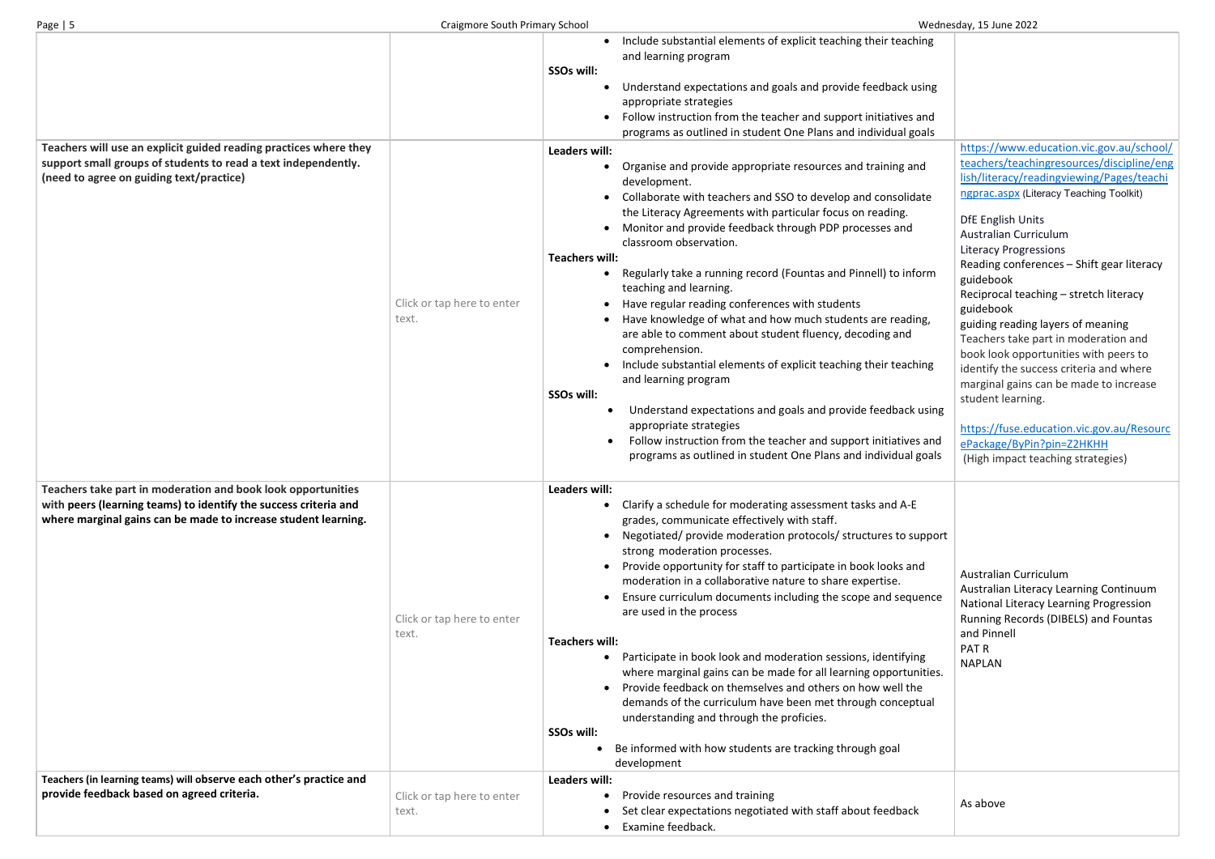| Teachers will use an explicit guided reading practices where they<br>support small groups of students to read a text independently.<br>(need to agree on guiding text/practice)                    | Click or tap here to enter<br>text. | Include substantial elements of explicit teaching their teaching<br>and learning program<br>SSOs will:<br>Understand expectations and goals and provide feedback using<br>appropriate strategies<br>Follow instruction from the teacher and support initiatives and<br>programs as outlined in student One Plans and individual goals<br>Leaders will:<br>Organise and provide appropriate resources and training and<br>development.<br>Collaborate with teachers and SSO to develop and consolidate<br>the Literacy Agreements with particular focus on reading.<br>Monitor and provide feedback through PDP processes and<br>classroom observation.<br><b>Teachers will:</b><br>Regularly take a running record (Fountas and Pinnell) to inform<br>teaching and learning.<br>Have regular reading conferences with students<br>Have knowledge of what and how much students are reading,<br>are able to comment about student fluency, decoding and<br>comprehension.<br>Include substantial elements of explicit teaching their teaching<br>and learning program<br>SSOs will:<br>Understand expectations and goals and provide feedback using<br>appropriate strategies<br>Follow instruction from the teacher and support initiatives and<br>programs as outlined in student One Plans and individual goals |
|----------------------------------------------------------------------------------------------------------------------------------------------------------------------------------------------------|-------------------------------------|-------------------------------------------------------------------------------------------------------------------------------------------------------------------------------------------------------------------------------------------------------------------------------------------------------------------------------------------------------------------------------------------------------------------------------------------------------------------------------------------------------------------------------------------------------------------------------------------------------------------------------------------------------------------------------------------------------------------------------------------------------------------------------------------------------------------------------------------------------------------------------------------------------------------------------------------------------------------------------------------------------------------------------------------------------------------------------------------------------------------------------------------------------------------------------------------------------------------------------------------------------------------------------------------------------------------|
| Teachers take part in moderation and book look opportunities<br>with peers (learning teams) to identify the success criteria and<br>where marginal gains can be made to increase student learning. | Click or tap here to enter<br>text. | <b>Leaders will:</b><br>Clarify a schedule for moderating assessment tasks and A-E<br>grades, communicate effectively with staff.<br>Negotiated/ provide moderation protocols/ structures to support<br>strong moderation processes.<br>Provide opportunity for staff to participate in book looks and<br>moderation in a collaborative nature to share expertise.<br>Ensure curriculum documents including the scope and sequence<br>are used in the process<br><b>Teachers will:</b><br>Participate in book look and moderation sessions, identifying<br>where marginal gains can be made for all learning opportunities.<br>Provide feedback on themselves and others on how well the<br>demands of the curriculum have been met through conceptual<br>understanding and through the proficies.<br>SSOs will:<br>Be informed with how students are tracking through goal<br>development                                                                                                                                                                                                                                                                                                                                                                                                                        |
| Teachers (in learning teams) will observe each other's practice and<br>provide feedback based on agreed criteria.                                                                                  | Click or tap here to enter<br>text. | Leaders will:<br>Provide resources and training<br>$\bullet$<br>Set clear expectations negotiated with staff about feedback<br>Examine feedback.                                                                                                                                                                                                                                                                                                                                                                                                                                                                                                                                                                                                                                                                                                                                                                                                                                                                                                                                                                                                                                                                                                                                                                  |

## https://www.education.vic.gov.au/school/ teachers/teachingresources/discipline/eng lish/literacy/readingviewing/Pages/teachi ngprac.aspx (Literacy Teaching Toolkit) DfE English Units Australian Curriculum Literacy Progressions Reading conferences – Shift gear literacy guidebook Reciprocal teaching – stretch literacy guidebook guiding reading layers of meaning Teachers take part in moderation and book look opportunities with peers to identify the success criteria and where marginal gains can be made to increase student learning. https://fuse.education.vic.gov.au/Resourc ePackage/ByPin?pin=Z2HKHH (High impact teaching strategies) upport Australian Curriculum Australian Literacy Learning Continuum National Literacy Learning Progression Running Records (DIBELS) and Fountas and Pinnell PAT R NAPLAN As above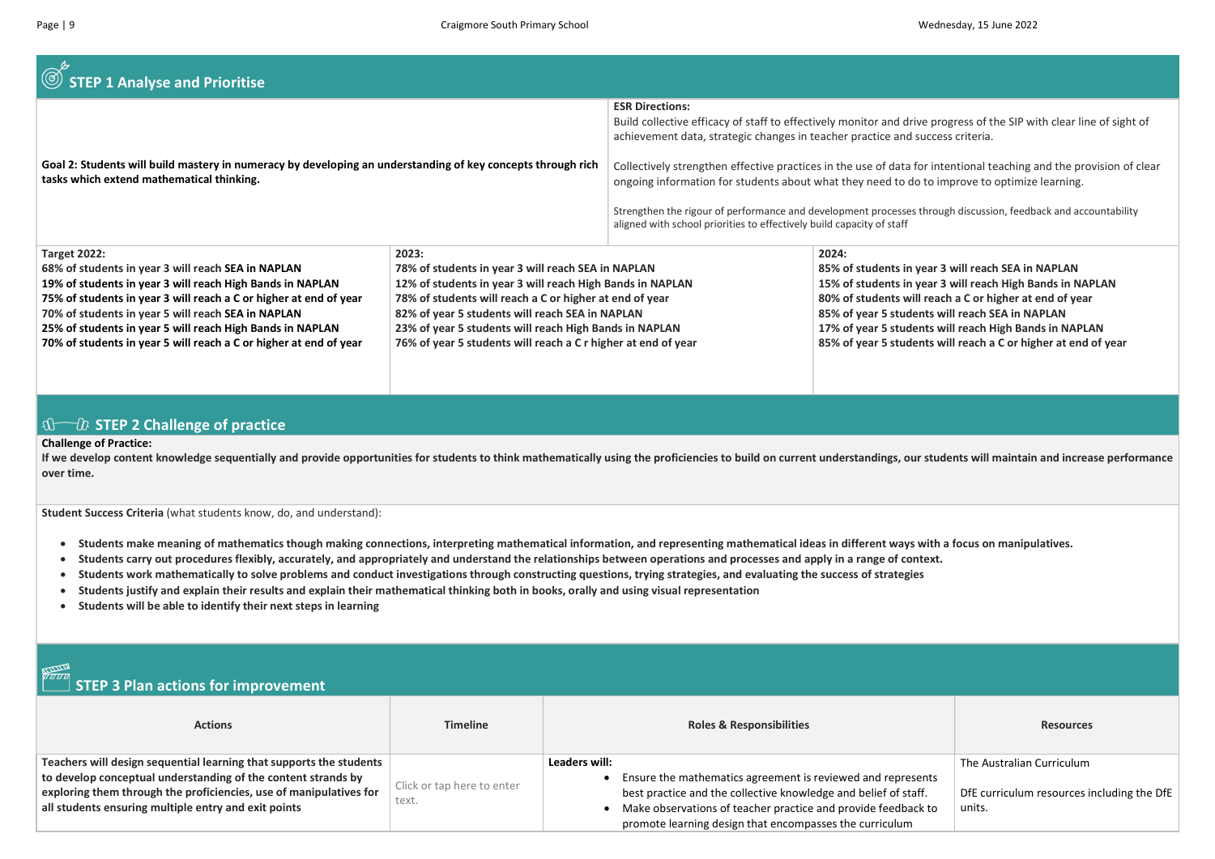| STEP 1 Analyse and Prioritise                                                                                                                                                                                                                                                                                                                                                                       |                                                                                                                                                                                                                                                                                                                                                                   |                                                                                                                                                                                                                                                                                                                                                                                                                                          |                                                                                                                                              |
|-----------------------------------------------------------------------------------------------------------------------------------------------------------------------------------------------------------------------------------------------------------------------------------------------------------------------------------------------------------------------------------------------------|-------------------------------------------------------------------------------------------------------------------------------------------------------------------------------------------------------------------------------------------------------------------------------------------------------------------------------------------------------------------|------------------------------------------------------------------------------------------------------------------------------------------------------------------------------------------------------------------------------------------------------------------------------------------------------------------------------------------------------------------------------------------------------------------------------------------|----------------------------------------------------------------------------------------------------------------------------------------------|
| Goal 2: Students will build mastery in numeracy by developing an understanding of key concepts through rich<br>tasks which extend mathematical thinking.                                                                                                                                                                                                                                            |                                                                                                                                                                                                                                                                                                                                                                   | <b>ESR Directions:</b><br>Build collective efficacy of staff to effectively monitor and dri<br>achievement data, strategic changes in teacher practice and<br>Collectively strengthen effective practices in the use of data f<br>ongoing information for students about what they need to do<br>Strengthen the rigour of performance and development processes<br>aligned with school priorities to effectively build capacity of staff |                                                                                                                                              |
| <b>Target 2022:</b><br>68% of students in year 3 will reach SEA in NAPLAN<br>19% of students in year 3 will reach High Bands in NAPLAN<br>75% of students in year 3 will reach a C or higher at end of year<br>70% of students in year 5 will reach SEA in NAPLAN<br>25% of students in year 5 will reach High Bands in NAPLAN<br>70% of students in year 5 will reach a C or higher at end of year | 2023:<br>78% of students in year 3 will reach SEA in NAPLAN<br>12% of students in year 3 will reach High Bands in NAPLAN<br>78% of students will reach a C or higher at end of year<br>82% of year 5 students will reach SEA in NAPLAN<br>23% of year 5 students will reach High Bands in NAPLAN<br>76% of year 5 students will reach a C r higher at end of year |                                                                                                                                                                                                                                                                                                                                                                                                                                          | 2024:<br>85% of students in<br>15% of students in<br>80% of students wi<br>85% of year 5 stude<br>17% of year 5 stude<br>85% of year 5 stude |

### $\bigoplus \mathbb{C}$  STEP 2 Challenge of practice

- Students make meaning of mathematics though making connections, interpreting mathematical information, and representing mathematical ideas in different ways with a focus on manipulatives.
- Students carry out procedures flexibly, accurately, and appropriately and understand the relationships between operations and processes and apply in a range of context.
- Students work mathematically to solve problems and conduct investigations through constructing questions, trying strategies, and evaluating the success of strategies
- Students justify and explain their results and explain their mathematical thinking both in books, orally and using visual representation
- Students will be able to identify their next steps in learning

#### Challenge of Practice:

If we develop content knowledge sequentially and provide opportunities for students to think mathematically using the proficiencies to build on current understandings, our students will maintain and increase performance over time.

Student Success Criteria (what students know, do, and understand):

| <b>PARADO</b><br>$\Box$ STEP 3 Plan actions for improvement                                                                                                                                                                                                        |                                     |                                                                                                                                                                                                                                                                             |                                                                                   |  |  |
|--------------------------------------------------------------------------------------------------------------------------------------------------------------------------------------------------------------------------------------------------------------------|-------------------------------------|-----------------------------------------------------------------------------------------------------------------------------------------------------------------------------------------------------------------------------------------------------------------------------|-----------------------------------------------------------------------------------|--|--|
| <b>Actions</b>                                                                                                                                                                                                                                                     | <b>Timeline</b>                     | <b>Roles &amp; Responsibilities</b>                                                                                                                                                                                                                                         | <b>Resources</b>                                                                  |  |  |
| Teachers will design sequential learning that supports the students<br>to develop conceptual understanding of the content strands by<br>exploring them through the proficiencies, use of manipulatives for<br>all students ensuring multiple entry and exit points | Click or tap here to enter<br>text. | Leaders will:<br>Ensure the mathematics agreement is reviewed and represents<br>best practice and the collective knowledge and belief of staff.<br>Make observations of teacher practice and provide feedback to<br>promote learning design that encompasses the curriculum | The Australian Curriculum<br>DfE curriculum resources including the DfE<br>units. |  |  |

ive progress of the SIP with clear line of sight of success criteria. for intentional teaching and the provision of clear o to improve to optimize learning. through discussion, feedback and accountability vear 3 will reach SEA in NAPLAN year 3 will reach High Bands in NAPLAN Ill reach a C or higher at end of year ents will reach SEA in NAPLAN ents will reach High Bands in NAPLAN ents will reach a C or higher at end of year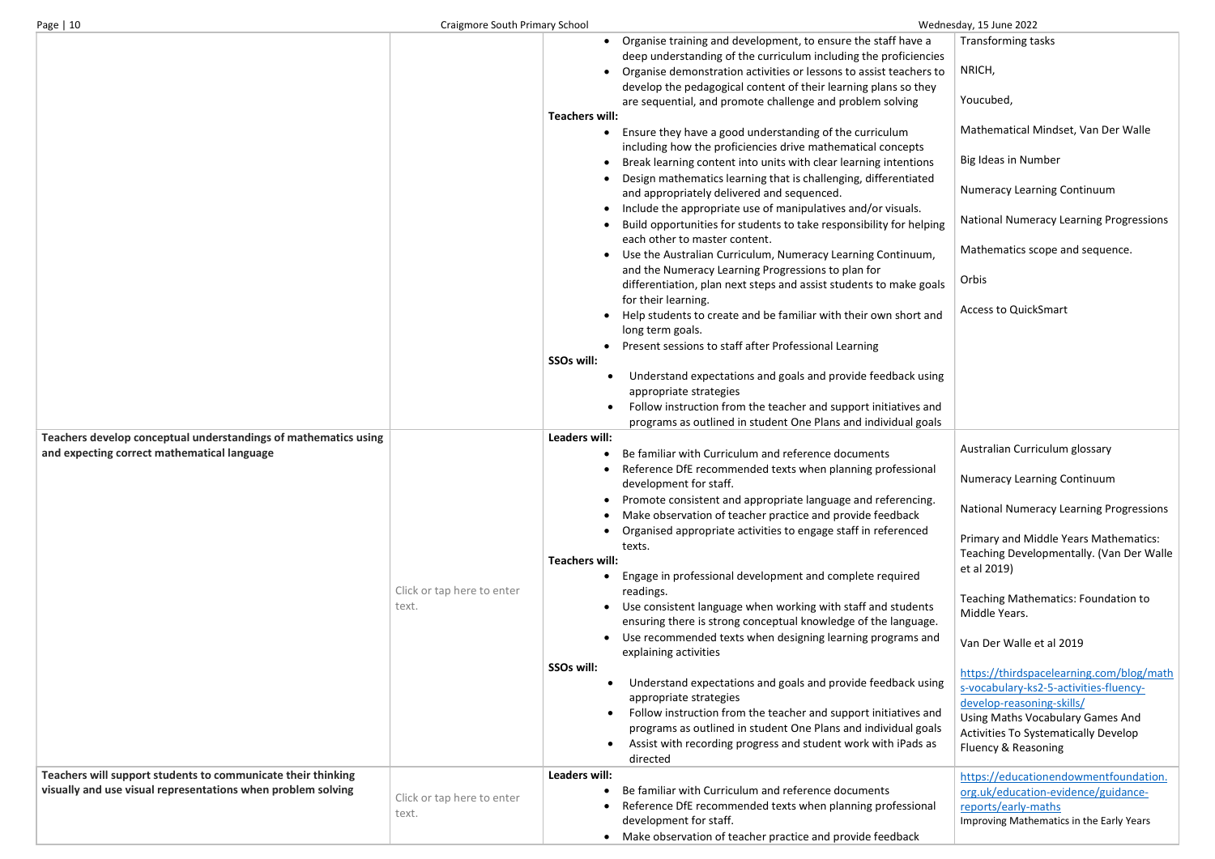| Page   10                                                                                                                    | <b>Craigmore South Primary School</b> |                                                                                                    |                                                                                                                                                                                                                                                                                                                                                                                                                                                                                                                                                                                                                                                                                                                                                                                                                                                                                                                                                                                                                                      | Wednesday, 15 June 2022                                                                                                                                                                                                                                                                                                                                                                                                                                                                                                                            |
|------------------------------------------------------------------------------------------------------------------------------|---------------------------------------|----------------------------------------------------------------------------------------------------|--------------------------------------------------------------------------------------------------------------------------------------------------------------------------------------------------------------------------------------------------------------------------------------------------------------------------------------------------------------------------------------------------------------------------------------------------------------------------------------------------------------------------------------------------------------------------------------------------------------------------------------------------------------------------------------------------------------------------------------------------------------------------------------------------------------------------------------------------------------------------------------------------------------------------------------------------------------------------------------------------------------------------------------|----------------------------------------------------------------------------------------------------------------------------------------------------------------------------------------------------------------------------------------------------------------------------------------------------------------------------------------------------------------------------------------------------------------------------------------------------------------------------------------------------------------------------------------------------|
|                                                                                                                              |                                       | $\bullet$                                                                                          | Organise training and development, to ensure the staff have a<br>deep understanding of the curriculum including the proficiencies<br>Organise demonstration activities or lessons to assist teachers to<br>develop the pedagogical content of their learning plans so they<br>are sequential, and promote challenge and problem solving                                                                                                                                                                                                                                                                                                                                                                                                                                                                                                                                                                                                                                                                                              | <b>Transforming tasks</b><br>NRICH,<br>Youcubed,                                                                                                                                                                                                                                                                                                                                                                                                                                                                                                   |
|                                                                                                                              |                                       | Teachers will:<br>SSOs will:<br>$\bullet$                                                          | Ensure they have a good understanding of the curriculum<br>including how the proficiencies drive mathematical concepts<br>Break learning content into units with clear learning intentions<br>Design mathematics learning that is challenging, differentiated<br>and appropriately delivered and sequenced.<br>Include the appropriate use of manipulatives and/or visuals.<br>Build opportunities for students to take responsibility for helping<br>each other to master content.<br>Use the Australian Curriculum, Numeracy Learning Continuum,<br>and the Numeracy Learning Progressions to plan for<br>differentiation, plan next steps and assist students to make goals<br>for their learning.<br>Help students to create and be familiar with their own short and<br>long term goals.<br>Present sessions to staff after Professional Learning<br>Understand expectations and goals and provide feedback using<br>appropriate strategies<br>Follow instruction from the teacher and support initiatives and                  | Mathematical Mindset, Van Der Walle<br><b>Big Ideas in Number</b><br><b>Numeracy Learning Continuum</b><br>National Numeracy Learning Progressions<br>Mathematics scope and sequence.<br>Orbis<br><b>Access to QuickSmart</b>                                                                                                                                                                                                                                                                                                                      |
| Teachers develop conceptual understandings of mathematics using<br>and expecting correct mathematical language               | Click or tap here to enter<br>text.   | <b>Leaders will:</b><br><b>Teachers will:</b><br>SSOs will:<br>$\bullet$<br>$\bullet$<br>$\bullet$ | programs as outlined in student One Plans and individual goals<br>Be familiar with Curriculum and reference documents<br>Reference DfE recommended texts when planning professional<br>development for staff.<br>Promote consistent and appropriate language and referencing.<br>Make observation of teacher practice and provide feedback<br>Organised appropriate activities to engage staff in referenced<br>texts.<br>Engage in professional development and complete required<br>readings.<br>Use consistent language when working with staff and students<br>ensuring there is strong conceptual knowledge of the language.<br>Use recommended texts when designing learning programs and<br>explaining activities<br>Understand expectations and goals and provide feedback using<br>appropriate strategies<br>Follow instruction from the teacher and support initiatives and<br>programs as outlined in student One Plans and individual goals<br>Assist with recording progress and student work with iPads as<br>directed | Australian Curriculum glossary<br><b>Numeracy Learning Continuum</b><br>National Numeracy Learning Progressions<br>Primary and Middle Years Mathematics:<br>Teaching Developmentally. (Van Der Walle<br>et al 2019)<br><b>Teaching Mathematics: Foundation to</b><br>Middle Years.<br>Van Der Walle et al 2019<br>https://thirdspacelearning.com/blog/math<br>s-vocabulary-ks2-5-activities-fluency-<br>develop-reasoning-skills/<br><b>Using Maths Vocabulary Games And</b><br><b>Activities To Systematically Develop</b><br>Fluency & Reasoning |
| Teachers will support students to communicate their thinking<br>visually and use visual representations when problem solving | Click or tap here to enter<br>text.   | Leaders will:<br>$\bullet$                                                                         | Be familiar with Curriculum and reference documents<br>Reference DfE recommended texts when planning professional<br>development for staff.<br>Make observation of teacher practice and provide feedback                                                                                                                                                                                                                                                                                                                                                                                                                                                                                                                                                                                                                                                                                                                                                                                                                             | https://educationendowmentfoundation.<br>org.uk/education-evidence/guidance-<br>reports/early-maths<br>Improving Mathematics in the Early Years                                                                                                                                                                                                                                                                                                                                                                                                    |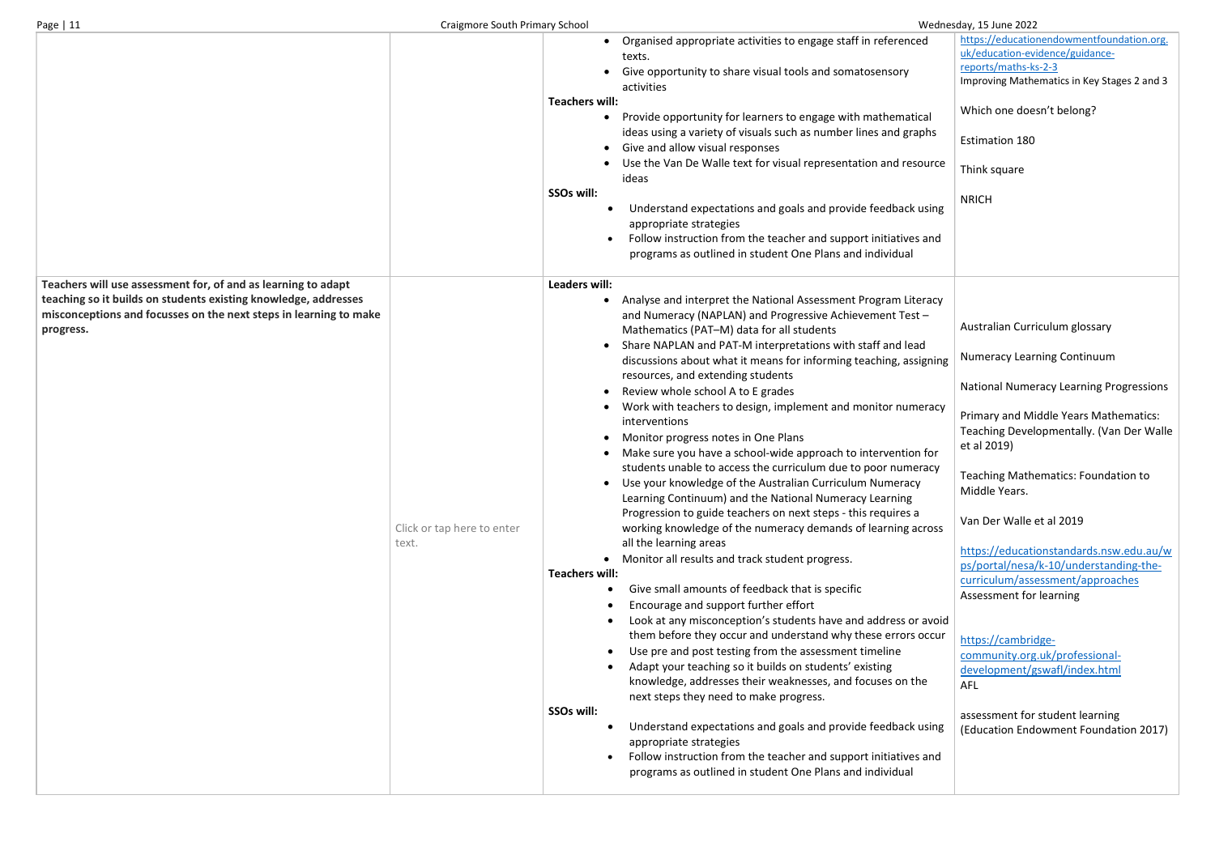|                                                                                                                                                                                                                    |                                     | Organised appropriate activities to engage staff in referenced<br>texts.<br>Give opportunity to share visual tools and somatosensory<br>activities<br><b>Teachers will:</b><br>Provide opportunity for learners to engage with mathematical<br>$\bullet$<br>ideas using a variety of visuals such as number lines and graphs<br>Give and allow visual responses<br>$\bullet$<br>Use the Van De Walle text for visual representation and resource<br>ideas<br>SSOs will:<br>Understand expectations and goals and provide feedback using<br>appropriate strategies<br>Follow instruction from the teacher and support initiatives and<br>programs as outlined in student One Plans and individual                                                                                                                                                                                                                                                                                                                                                                                                                                                                                                                                                                                                                                                                                                                                                                                                                                                                                                                                                                                                                                                                                                                             |
|--------------------------------------------------------------------------------------------------------------------------------------------------------------------------------------------------------------------|-------------------------------------|------------------------------------------------------------------------------------------------------------------------------------------------------------------------------------------------------------------------------------------------------------------------------------------------------------------------------------------------------------------------------------------------------------------------------------------------------------------------------------------------------------------------------------------------------------------------------------------------------------------------------------------------------------------------------------------------------------------------------------------------------------------------------------------------------------------------------------------------------------------------------------------------------------------------------------------------------------------------------------------------------------------------------------------------------------------------------------------------------------------------------------------------------------------------------------------------------------------------------------------------------------------------------------------------------------------------------------------------------------------------------------------------------------------------------------------------------------------------------------------------------------------------------------------------------------------------------------------------------------------------------------------------------------------------------------------------------------------------------------------------------------------------------------------------------------------------------|
| Teachers will use assessment for, of and as learning to adapt<br>teaching so it builds on students existing knowledge, addresses<br>misconceptions and focusses on the next steps in learning to make<br>progress. | Click or tap here to enter<br>text. | <b>Leaders will:</b><br>Analyse and interpret the National Assessment Program Literacy<br>$\bullet$<br>and Numeracy (NAPLAN) and Progressive Achievement Test -<br>Mathematics (PAT-M) data for all students<br>Share NAPLAN and PAT-M interpretations with staff and lead<br>$\bullet$<br>discussions about what it means for informing teaching, assigning<br>resources, and extending students<br>Review whole school A to E grades<br>$\bullet$<br>Work with teachers to design, implement and monitor numeracy<br>$\bullet$<br>interventions<br>Monitor progress notes in One Plans<br>Make sure you have a school-wide approach to intervention for<br>$\bullet$<br>students unable to access the curriculum due to poor numeracy<br>Use your knowledge of the Australian Curriculum Numeracy<br>$\bullet$<br>Learning Continuum) and the National Numeracy Learning<br>Progression to guide teachers on next steps - this requires a<br>working knowledge of the numeracy demands of learning across<br>all the learning areas<br>Monitor all results and track student progress.<br>$\bullet$<br><b>Teachers will:</b><br>Give small amounts of feedback that is specific<br>Encourage and support further effort<br>Look at any misconception's students have and address or avoid<br>them before they occur and understand why these errors occur<br>Use pre and post testing from the assessment timeline<br>Adapt your teaching so it builds on students' existing<br>knowledge, addresses their weaknesses, and focuses on the<br>next steps they need to make progress.<br>SSOs will:<br>Understand expectations and goals and provide feedback using<br>appropriate strategies<br>Follow instruction from the teacher and support initiatives and<br>programs as outlined in student One Plans and individual |

| эq             | https://educationendowmentfoundation.org.<br>uk/education-evidence/guidance-<br>reports/maths-ks-2-3<br>Improving Mathematics in Key Stages 2 and 3 |
|----------------|-----------------------------------------------------------------------------------------------------------------------------------------------------|
| cal<br>phs     | Which one doesn't belong?                                                                                                                           |
|                | <b>Estimation 180</b>                                                                                                                               |
| ource          | Think square                                                                                                                                        |
| using          | <b>NRICH</b>                                                                                                                                        |
| ; and          |                                                                                                                                                     |
| eracy          |                                                                                                                                                     |
|                | Australian Curriculum glossary                                                                                                                      |
| d<br>igning    | <b>Numeracy Learning Continuum</b>                                                                                                                  |
|                | <b>National Numeracy Learning Progressions</b>                                                                                                      |
| eracy<br>າ for | Primary and Middle Years Mathematics:<br>Teaching Developmentally. (Van Der Walle<br>et al 2019)                                                    |
| racy           | <b>Teaching Mathematics: Foundation to</b><br>Middle Years.                                                                                         |
| cross          | Van Der Walle et al 2019                                                                                                                            |
|                | https://educationstandards.nsw.edu.au/w<br>ps/portal/nesa/k-10/understanding-the-<br>curriculum/assessment/approaches<br>Assessment for learning    |
| avoid<br>occur | https://cambridge-<br>community.org.uk/professional-<br>development/gswafl/index.html                                                               |
| ١e             | <b>AFL</b>                                                                                                                                          |
| using          | assessment for student learning<br>(Education Endowment Foundation 2017)                                                                            |
| ; and          |                                                                                                                                                     |
|                |                                                                                                                                                     |